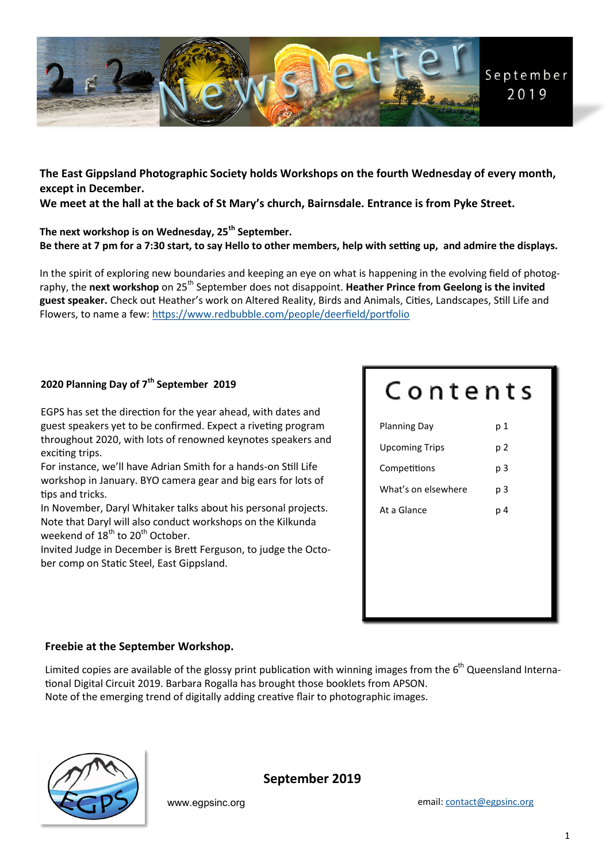

**The East Gippsland Photographic Society holds Workshops on the fourth Wednesday of every month, except in December.** 

**We meet at the hall at the back of St Mary's church, Bairnsdale. Entrance is from Pyke Street.** 

**The next workshop is on Wednesday, 25th September. Be there at 7 pm for a 7:30 start, to say Hello to other members, help with setting up, and admire the displays.** 

In the spirit of exploring new boundaries and keeping an eye on what is happening in the evolving field of photography, the **next workshop** on 25<sup>th</sup> September does not disappoint. **Heather Prince from Geelong is the invited guest speaker.** Check out Heather's work on Altered Reality, Birds and Animals, Cities, Landscapes, Still Life and Flowers, to name a few: <https://www.redbubble.com/people/deerfield/portfolio>

## **2020 Planning Day of 7th September 2019**

EGPS has set the direction for the year ahead, with dates and guest speakers yet to be confirmed. Expect a riveting program throughout 2020, with lots of renowned keynotes speakers and exciting trips.

For instance, we'll have Adrian Smith for a hands-on Still Life workshop in January. BYO camera gear and big ears for lots of tips and tricks.

In November, Daryl Whitaker talks about his personal projects. Note that Daryl will also conduct workshops on the Kilkunda weekend of  $18^{\text{th}}$  to 20<sup>th</sup> October.

Invited Judge in December is Brett Ferguson, to judge the October comp on Static Steel, East Gippsland.

# Contents

| <b>Planning Day</b>   | p 1 |  |
|-----------------------|-----|--|
| <b>Upcoming Trips</b> | p 2 |  |
| Competitions          | p 3 |  |
| What's on elsewhere   | p 3 |  |
| At a Glance           | p 4 |  |
|                       |     |  |
|                       |     |  |
|                       |     |  |
|                       |     |  |
|                       |     |  |

## **Freebie at the September Workshop.**

Limited copies are available of the glossy print publication with winning images from the  $6<sup>th</sup>$  Queensland International Digital Circuit 2019. Barbara Rogalla has brought those booklets from APSON. Note of the emerging trend of digitally adding creative flair to photographic images.



**September 2019**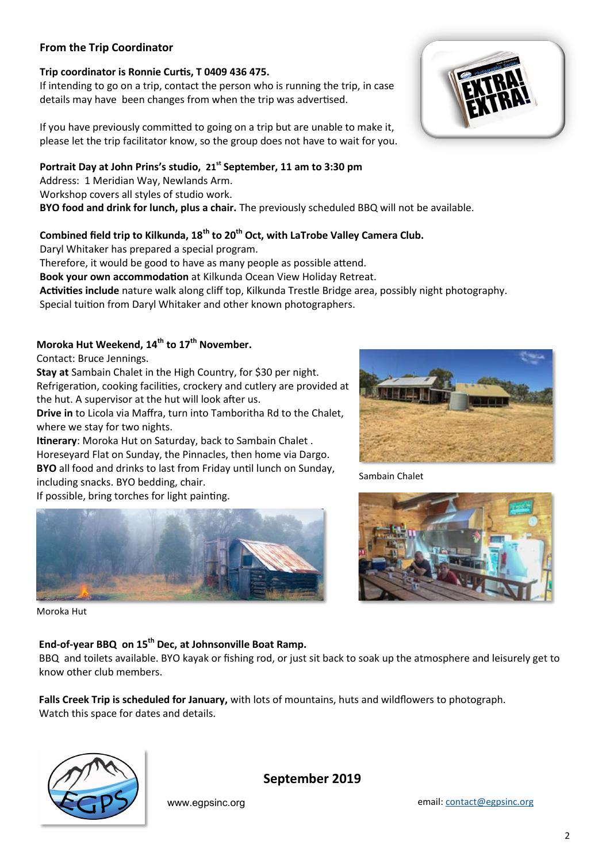## **From the Trip Coordinator**

#### **Trip coordinator is Ronnie Curtis, T 0409 436 475.**

If intending to go on a trip, contact the person who is running the trip, in case details may have been changes from when the trip was advertised.

If you have previously committed to going on a trip but are unable to make it, please let the trip facilitator know, so the group does not have to wait for you.

#### **Portrait Day at John Prins's studio, 21st September, 11 am to 3:30 pm**

Address: 1 Meridian Way, Newlands Arm.

Workshop covers all styles of studio work.

**BYO food and drink for lunch, plus a chair.** The previously scheduled BBQ will not be available.

## **Combined field trip to Kilkunda, 18th to 20th Oct, with LaTrobe Valley Camera Club.**

Daryl Whitaker has prepared a special program.

Therefore, it would be good to have as many people as possible attend.

**Book your own accommodation** at Kilkunda Ocean View Holiday Retreat.

**Activities include** nature walk along cliff top, Kilkunda Trestle Bridge area, possibly night photography.

Special tuition from Daryl Whitaker and other known photographers.

# **Moroka Hut Weekend, 14th to 17th November.**

Contact: Bruce Jennings.

**Stay at** Sambain Chalet in the High Country, for \$30 per night.

Refrigeration, cooking facilities, crockery and cutlery are provided at the hut. A supervisor at the hut will look after us.

**Drive in** to Licola via Maffra, turn into Tamboritha Rd to the Chalet, where we stay for two nights.

**Itinerary**: Moroka Hut on Saturday, back to Sambain Chalet . Horeseyard Flat on Sunday, the Pinnacles, then home via Dargo.

**BYO** all food and drinks to last from Friday until lunch on Sunday,

including snacks. BYO bedding, chair.

If possible, bring torches for light painting.



Moroka Hut

## **End-of-year BBQ on 15th Dec, at Johnsonville Boat Ramp.**

BBQ and toilets available. BYO kayak or fishing rod, or just sit back to soak up the atmosphere and leisurely get to know other club members.

**Falls Creek Trip is scheduled for January,** with lots of mountains, huts and wildflowers to photograph. Watch this space for dates and details.



**September 2019**





Sambain Chalet



www.egpsinc.org email: [contact@egpsinc.org](mailto:contact@egpsinc.org)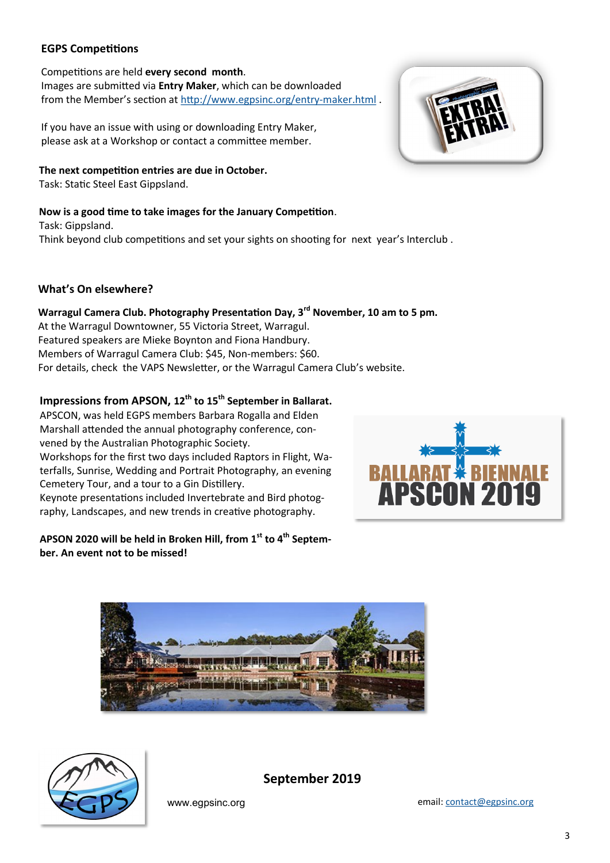## **EGPS Competitions**

#### Competitions are held **every second month**.

Images are submitted via **Entry Maker**, which can be downloaded from the Member's section at [http://www.egpsinc.org/entry](http://www.egpsinc.org/entry-maker.html)-maker.html.

If you have an issue with using or downloading Entry Maker, please ask at a Workshop or contact a committee member.

#### **The next competition entries are due in October.**

Task: Static Steel East Gippsland.

#### **Now is a good time to take images for the January Competition**.

Task: Gippsland. Think beyond club competitions and set your sights on shooting for next year's Interclub .

#### **What's On elsewhere?**

# **Warragul Camera Club. Photography Presentation Day, 3rd November, 10 am to 5 pm.**

At the Warragul Downtowner, 55 Victoria Street, Warragul. Featured speakers are Mieke Boynton and Fiona Handbury. Members of Warragul Camera Club: \$45, Non-members: \$60. For details, check the VAPS Newsletter, or the Warragul Camera Club's website.

## **Impressions from APSON, 12th to 15th September in Ballarat.**

APSCON, was held EGPS members Barbara Rogalla and Elden Marshall attended the annual photography conference, convened by the Australian Photographic Society. Workshops for the first two days included Raptors in Flight, Waterfalls, Sunrise, Wedding and Portrait Photography, an evening Cemetery Tour, and a tour to a Gin Distillery. Keynote presentations included Invertebrate and Bird photography, Landscapes, and new trends in creative photography.

### **APSON 2020 will be held in Broken Hill, from 1st to 4th September. An event not to be missed!**







**September 2019**